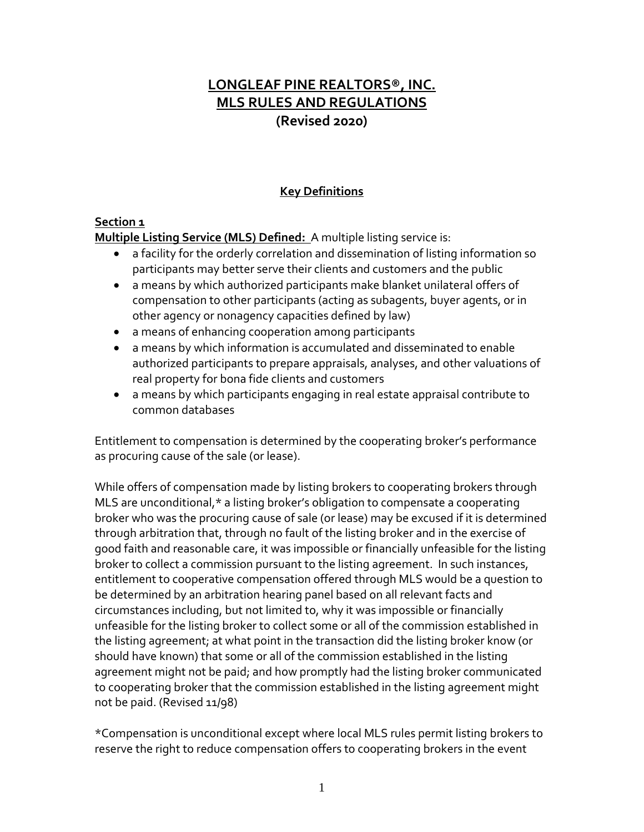# **LONGLEAF PINE REALTORS®, INC. MLS RULES AND REGULATIONS (Revised 2020)**

### **Key Definitions**

### **Section 1**

**Multiple Listing Service (MLS) Defined:** A multiple listing service is:

- a facility for the orderly correlation and dissemination of listing information so participants may better serve their clients and customers and the public
- a means by which authorized participants make blanket unilateral offers of compensation to other participants (acting as subagents, buyer agents, or in other agency or nonagency capacities defined by law)
- a means of enhancing cooperation among participants
- a means by which information is accumulated and disseminated to enable authorized participants to prepare appraisals, analyses, and other valuations of real property for bona fide clients and customers
- a means by which participants engaging in real estate appraisal contribute to common databases

Entitlement to compensation is determined by the cooperating broker's performance as procuring cause of the sale (or lease).

While offers of compensation made by listing brokers to cooperating brokers through MLS are unconditional,\* a listing broker's obligation to compensate a cooperating broker who was the procuring cause of sale (or lease) may be excused if it is determined through arbitration that, through no fault of the listing broker and in the exercise of good faith and reasonable care, it was impossible or financially unfeasible for the listing broker to collect a commission pursuant to the listing agreement. In such instances, entitlement to cooperative compensation offered through MLS would be a question to be determined by an arbitration hearing panel based on all relevant facts and circumstances including, but not limited to, why it was impossible or financially unfeasible for the listing broker to collect some or all of the commission established in the listing agreement; at what point in the transaction did the listing broker know (or should have known) that some or all of the commission established in the listing agreement might not be paid; and how promptly had the listing broker communicated to cooperating broker that the commission established in the listing agreement might not be paid. (Revised 11/98)

\*Compensation is unconditional except where local MLS rules permit listing brokers to reserve the right to reduce compensation offers to cooperating brokers in the event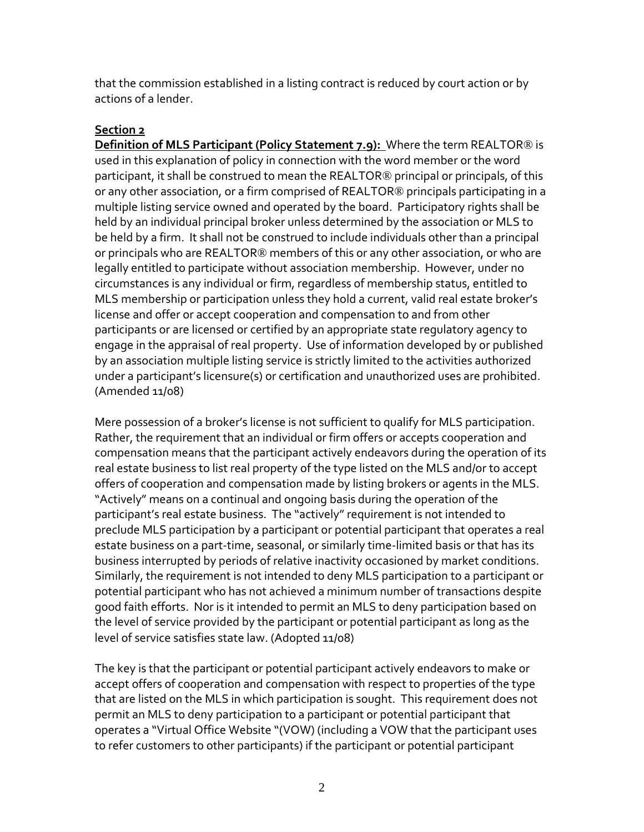that the commission established in a listing contract is reduced by court action or by actions of a lender.

#### **Section 2**

**Definition of MLS Participant (Policy Statement 7.9):** Where the term REALTOR® is used in this explanation of policy in connection with the word member or the word participant, it shall be construed to mean the REALTOR® principal or principals, of this or any other association, or a firm comprised of REALTOR® principals participating in a multiple listing service owned and operated by the board. Participatory rights shall be held by an individual principal broker unless determined by the association or MLS to be held by a firm. It shall not be construed to include individuals other than a principal or principals who are REALTOR® members of this or any other association, or who are legally entitled to participate without association membership. However, under no circumstances is any individual or firm, regardless of membership status, entitled to MLS membership or participation unless they hold a current, valid real estate broker's license and offer or accept cooperation and compensation to and from other participants or are licensed or certified by an appropriate state regulatory agency to engage in the appraisal of real property. Use of information developed by or published by an association multiple listing service is strictly limited to the activities authorized under a participant's licensure(s) or certification and unauthorized uses are prohibited. (Amended 11/08)

Mere possession of a broker's license is not sufficient to qualify for MLS participation. Rather, the requirement that an individual or firm offers or accepts cooperation and compensation means that the participant actively endeavors during the operation of its real estate business to list real property of the type listed on the MLS and/or to accept offers of cooperation and compensation made by listing brokers or agents in the MLS. "Actively" means on a continual and ongoing basis during the operation of the participant's real estate business. The "actively" requirement is not intended to preclude MLS participation by a participant or potential participant that operates a real estate business on a part-time, seasonal, or similarly time-limited basis or that has its business interrupted by periods of relative inactivity occasioned by market conditions. Similarly, the requirement is not intended to deny MLS participation to a participant or potential participant who has not achieved a minimum number of transactions despite good faith efforts. Nor is it intended to permit an MLS to deny participation based on the level of service provided by the participant or potential participant as long as the level of service satisfies state law. (Adopted 11/08)

The key is that the participant or potential participant actively endeavors to make or accept offers of cooperation and compensation with respect to properties of the type that are listed on the MLS in which participation is sought. This requirement does not permit an MLS to deny participation to a participant or potential participant that operates a "Virtual Office Website "(VOW) (including a VOW that the participant uses to refer customers to other participants) if the participant or potential participant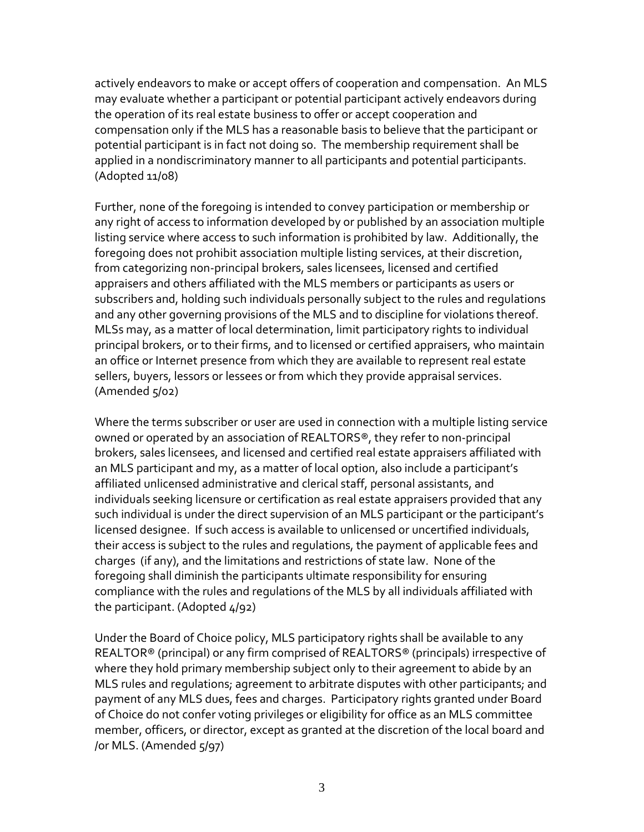actively endeavors to make or accept offers of cooperation and compensation. An MLS may evaluate whether a participant or potential participant actively endeavors during the operation of its real estate business to offer or accept cooperation and compensation only if the MLS has a reasonable basis to believe that the participant or potential participant is in fact not doing so. The membership requirement shall be applied in a nondiscriminatory manner to all participants and potential participants. (Adopted 11/08)

Further, none of the foregoing is intended to convey participation or membership or any right of access to information developed by or published by an association multiple listing service where access to such information is prohibited by law. Additionally, the foregoing does not prohibit association multiple listing services, at their discretion, from categorizing non-principal brokers, sales licensees, licensed and certified appraisers and others affiliated with the MLS members or participants as users or subscribers and, holding such individuals personally subject to the rules and regulations and any other governing provisions of the MLS and to discipline for violations thereof. MLSs may, as a matter of local determination, limit participatory rights to individual principal brokers, or to their firms, and to licensed or certified appraisers, who maintain an office or Internet presence from which they are available to represent real estate sellers, buyers, lessors or lessees or from which they provide appraisal services. (Amended 5/02)

Where the terms subscriber or user are used in connection with a multiple listing service owned or operated by an association of REALTORS®, they refer to non-principal brokers, sales licensees, and licensed and certified real estate appraisers affiliated with an MLS participant and my, as a matter of local option, also include a participant's affiliated unlicensed administrative and clerical staff, personal assistants, and individuals seeking licensure or certification as real estate appraisers provided that any such individual is under the direct supervision of an MLS participant or the participant's licensed designee. If such access is available to unlicensed or uncertified individuals, their access is subject to the rules and regulations, the payment of applicable fees and charges (if any), and the limitations and restrictions of state law. None of the foregoing shall diminish the participants ultimate responsibility for ensuring compliance with the rules and regulations of the MLS by all individuals affiliated with the participant. (Adopted 4/92)

Under the Board of Choice policy, MLS participatory rights shall be available to any REALTOR® (principal) or any firm comprised of REALTORS® (principals) irrespective of where they hold primary membership subject only to their agreement to abide by an MLS rules and regulations; agreement to arbitrate disputes with other participants; and payment of any MLS dues, fees and charges. Participatory rights granted under Board of Choice do not confer voting privileges or eligibility for office as an MLS committee member, officers, or director, except as granted at the discretion of the local board and /or MLS. (Amended 5/97)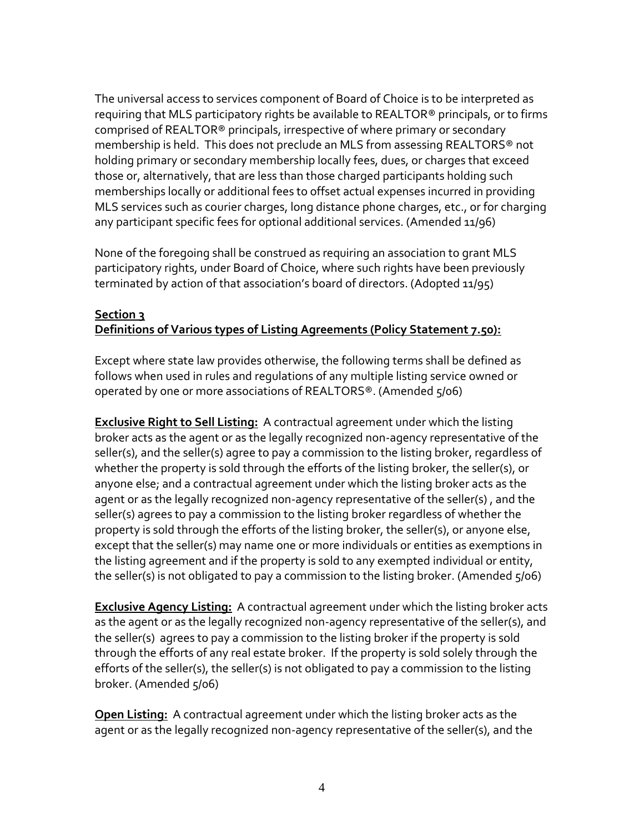The universal access to services component of Board of Choice is to be interpreted as requiring that MLS participatory rights be available to REALTOR® principals, or to firms comprised of REALTOR® principals, irrespective of where primary or secondary membership is held. This does not preclude an MLS from assessing REALTORS® not holding primary or secondary membership locally fees, dues, or charges that exceed those or, alternatively, that are less than those charged participants holding such memberships locally or additional fees to offset actual expenses incurred in providing MLS services such as courier charges, long distance phone charges, etc., or for charging any participant specific fees for optional additional services. (Amended 11/96)

None of the foregoing shall be construed as requiring an association to grant MLS participatory rights, under Board of Choice, where such rights have been previously terminated by action of that association's board of directors. (Adopted 11/95)

#### **Section 3 Definitions of Various types of Listing Agreements (Policy Statement 7.50):**

Except where state law provides otherwise, the following terms shall be defined as follows when used in rules and regulations of any multiple listing service owned or operated by one or more associations of REALTORS®. (Amended 5/06)

**Exclusive Right to Sell Listing:** A contractual agreement under which the listing broker acts as the agent or as the legally recognized non-agency representative of the seller(s), and the seller(s) agree to pay a commission to the listing broker, regardless of whether the property is sold through the efforts of the listing broker, the seller(s), or anyone else; and a contractual agreement under which the listing broker acts as the agent or as the legally recognized non-agency representative of the seller(s) , and the seller(s) agrees to pay a commission to the listing broker regardless of whether the property is sold through the efforts of the listing broker, the seller(s), or anyone else, except that the seller(s) may name one or more individuals or entities as exemptions in the listing agreement and if the property is sold to any exempted individual or entity, the seller(s) is not obligated to pay a commission to the listing broker. (Amended  $\zeta/06$ )

**Exclusive Agency Listing:** A contractual agreement under which the listing broker acts as the agent or as the legally recognized non-agency representative of the seller(s), and the seller(s) agrees to pay a commission to the listing broker if the property is sold through the efforts of any real estate broker. If the property is sold solely through the efforts of the seller(s), the seller(s) is not obligated to pay a commission to the listing broker. (Amended 5/06)

**Open Listing:** A contractual agreement under which the listing broker acts as the agent or as the legally recognized non-agency representative of the seller(s), and the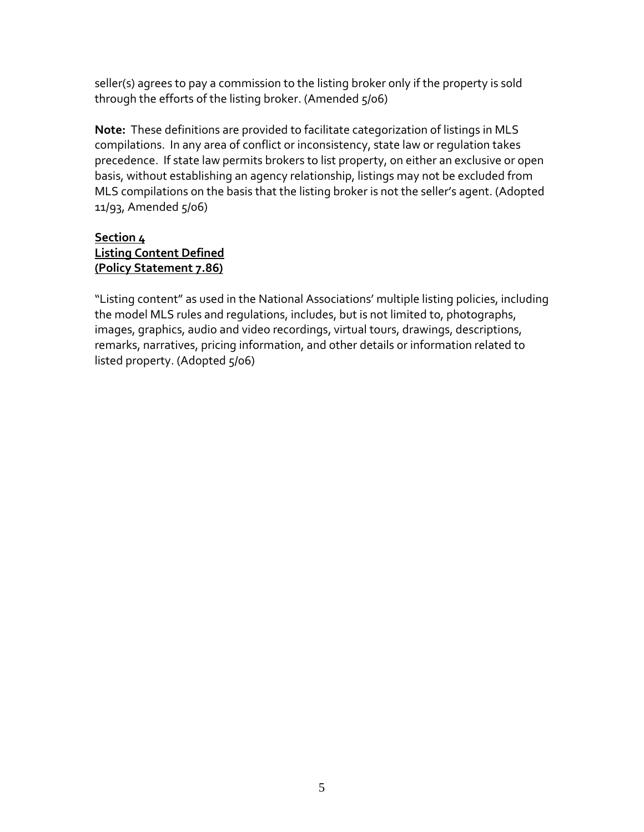seller(s) agrees to pay a commission to the listing broker only if the property is sold through the efforts of the listing broker. (Amended 5/06)

**Note:** These definitions are provided to facilitate categorization of listings in MLS compilations. In any area of conflict or inconsistency, state law or regulation takes precedence. If state law permits brokers to list property, on either an exclusive or open basis, without establishing an agency relationship, listings may not be excluded from MLS compilations on the basis that the listing broker is not the seller's agent. (Adopted 11/93, Amended 5/06)

### **Section 4 Listing Content Defined (Policy Statement 7.86)**

"Listing content" as used in the National Associations' multiple listing policies, including the model MLS rules and regulations, includes, but is not limited to, photographs, images, graphics, audio and video recordings, virtual tours, drawings, descriptions, remarks, narratives, pricing information, and other details or information related to listed property. (Adopted 5/06)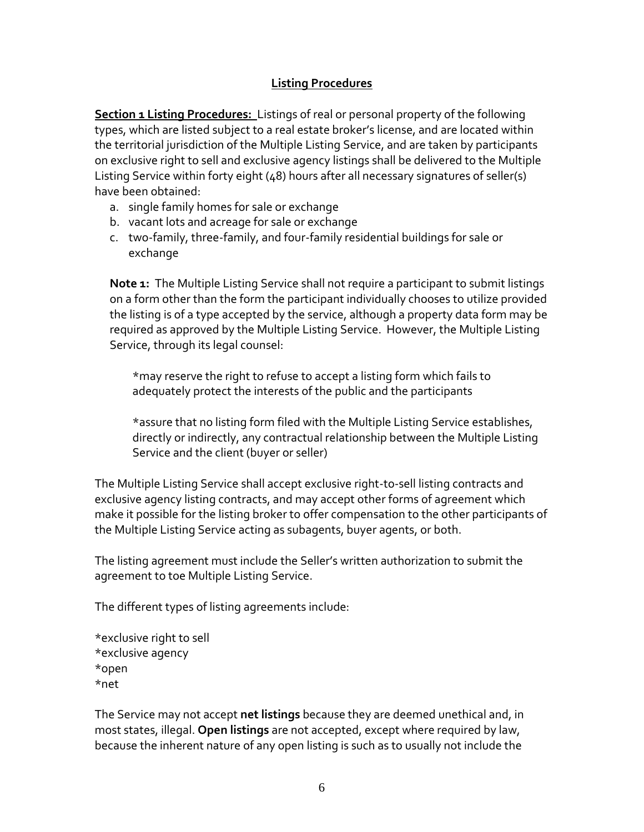#### **Listing Procedures**

**Section 1 Listing Procedures:** Listings of real or personal property of the following types, which are listed subject to a real estate broker's license, and are located within the territorial jurisdiction of the Multiple Listing Service, and are taken by participants on exclusive right to sell and exclusive agency listings shall be delivered to the Multiple Listing Service within forty eight (48) hours after all necessary signatures of seller(s) have been obtained:

- a. single family homes for sale or exchange
- b. vacant lots and acreage for sale or exchange
- c. two-family, three-family, and four-family residential buildings for sale or exchange

**Note 1:** The Multiple Listing Service shall not require a participant to submit listings on a form other than the form the participant individually chooses to utilize provided the listing is of a type accepted by the service, although a property data form may be required as approved by the Multiple Listing Service. However, the Multiple Listing Service, through its legal counsel:

\*may reserve the right to refuse to accept a listing form which fails to adequately protect the interests of the public and the participants

\*assure that no listing form filed with the Multiple Listing Service establishes, directly or indirectly, any contractual relationship between the Multiple Listing Service and the client (buyer or seller)

The Multiple Listing Service shall accept exclusive right-to-sell listing contracts and exclusive agency listing contracts, and may accept other forms of agreement which make it possible for the listing broker to offer compensation to the other participants of the Multiple Listing Service acting as subagents, buyer agents, or both.

The listing agreement must include the Seller's written authorization to submit the agreement to toe Multiple Listing Service.

The different types of listing agreements include:

\*exclusive right to sell \*exclusive agency \*open \*net

The Service may not accept **net listings** because they are deemed unethical and, in most states, illegal. **Open listings** are not accepted, except where required by law, because the inherent nature of any open listing is such as to usually not include the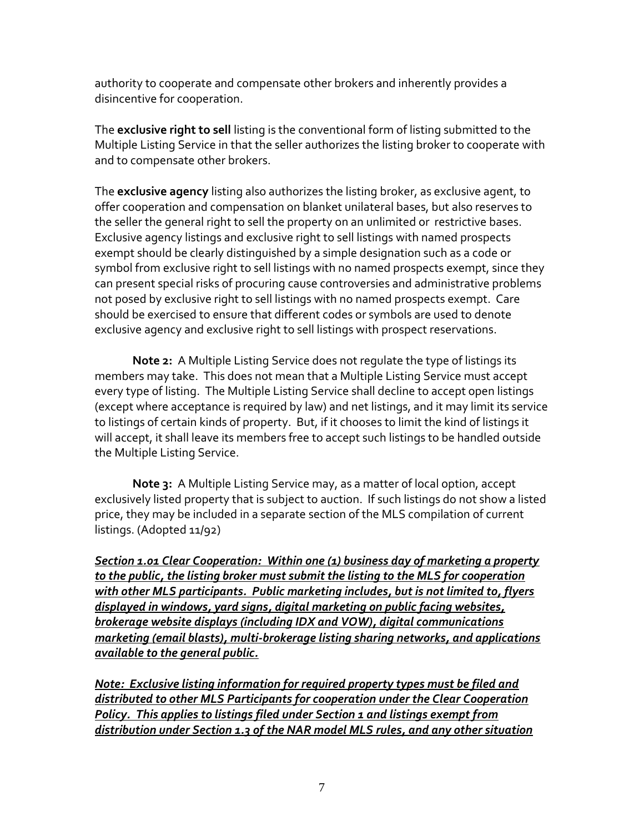authority to cooperate and compensate other brokers and inherently provides a disincentive for cooperation.

The **exclusive right to sell** listing is the conventional form of listing submitted to the Multiple Listing Service in that the seller authorizes the listing broker to cooperate with and to compensate other brokers.

The **exclusive agency** listing also authorizes the listing broker, as exclusive agent, to offer cooperation and compensation on blanket unilateral bases, but also reserves to the seller the general right to sell the property on an unlimited or restrictive bases. Exclusive agency listings and exclusive right to sell listings with named prospects exempt should be clearly distinguished by a simple designation such as a code or symbol from exclusive right to sell listings with no named prospects exempt, since they can present special risks of procuring cause controversies and administrative problems not posed by exclusive right to sell listings with no named prospects exempt. Care should be exercised to ensure that different codes or symbols are used to denote exclusive agency and exclusive right to sell listings with prospect reservations.

**Note 2:** A Multiple Listing Service does not regulate the type of listings its members may take. This does not mean that a Multiple Listing Service must accept every type of listing. The Multiple Listing Service shall decline to accept open listings (except where acceptance is required by law) and net listings, and it may limit its service to listings of certain kinds of property. But, if it chooses to limit the kind of listings it will accept, it shall leave its members free to accept such listings to be handled outside the Multiple Listing Service.

**Note 3:** A Multiple Listing Service may, as a matter of local option, accept exclusively listed property that is subject to auction. If such listings do not show a listed price, they may be included in a separate section of the MLS compilation of current listings. (Adopted 11/92)

*Section 1.01 Clear Cooperation: Within one (1) business day of marketing a property to the public, the listing broker must submit the listing to the MLS for cooperation with other MLS participants. Public marketing includes, but is not limited to, flyers displayed in windows, yard signs, digital marketing on public facing websites, brokerage website displays (including IDX and VOW), digital communications marketing (email blasts), multi-brokerage listing sharing networks, and applications available to the general public.*

*Note: Exclusive listing information for required property types must be filed and distributed to other MLS Participants for cooperation under the Clear Cooperation Policy. This applies to listings filed under Section 1 and listings exempt from distribution under Section 1.3 of the NAR model MLS rules, and any other situation*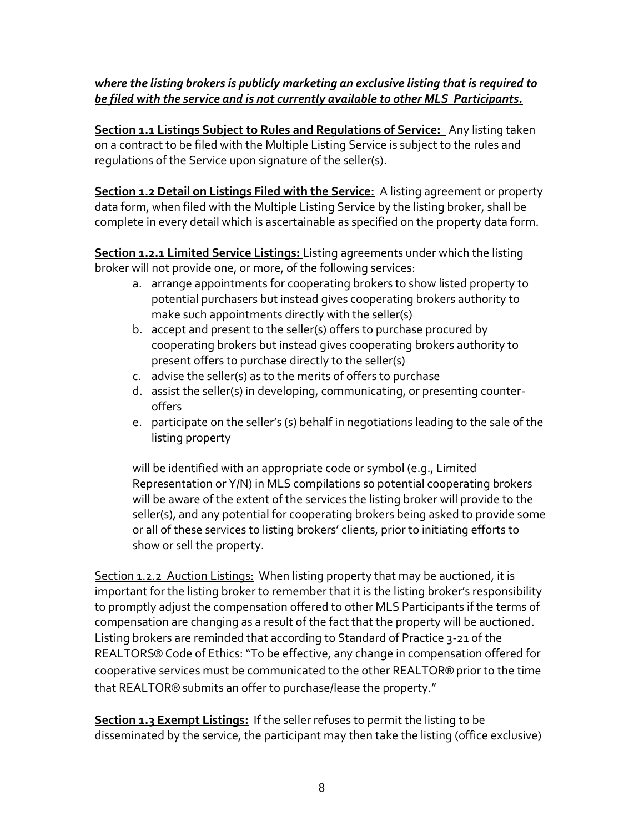### *where the listing brokers is publicly marketing an exclusive listing that is required to be filed with the service and is not currently available to other MLS Participants.*

**Section 1.1 Listings Subject to Rules and Regulations of Service:** Any listing taken on a contract to be filed with the Multiple Listing Service is subject to the rules and regulations of the Service upon signature of the seller(s).

**Section 1.2 Detail on Listings Filed with the Service:** A listing agreement or property data form, when filed with the Multiple Listing Service by the listing broker, shall be complete in every detail which is ascertainable as specified on the property data form.

**Section 1.2.1 Limited Service Listings:** Listing agreements under which the listing broker will not provide one, or more, of the following services:

- a. arrange appointments for cooperating brokers to show listed property to potential purchasers but instead gives cooperating brokers authority to make such appointments directly with the seller(s)
- b. accept and present to the seller(s) offers to purchase procured by cooperating brokers but instead gives cooperating brokers authority to present offers to purchase directly to the seller(s)
- c. advise the seller(s) as to the merits of offers to purchase
- d. assist the seller(s) in developing, communicating, or presenting counteroffers
- e. participate on the seller's (s) behalf in negotiations leading to the sale of the listing property

will be identified with an appropriate code or symbol (e.g., Limited Representation or Y/N) in MLS compilations so potential cooperating brokers will be aware of the extent of the services the listing broker will provide to the seller(s), and any potential for cooperating brokers being asked to provide some or all of these services to listing brokers' clients, prior to initiating efforts to show or sell the property.

Section 1.2.2 Auction Listings: When listing property that may be auctioned, it is important for the listing broker to remember that it is the listing broker's responsibility to promptly adjust the compensation offered to other MLS Participants if the terms of compensation are changing as a result of the fact that the property will be auctioned. Listing brokers are reminded that according to Standard of Practice 3-21 of the REALTORS® Code of Ethics: "To be effective, any change in compensation offered for cooperative services must be communicated to the other REALTOR® prior to the time that REALTOR® submits an offer to purchase/lease the property."

**Section 1.3 Exempt Listings:** If the seller refuses to permit the listing to be disseminated by the service, the participant may then take the listing (office exclusive)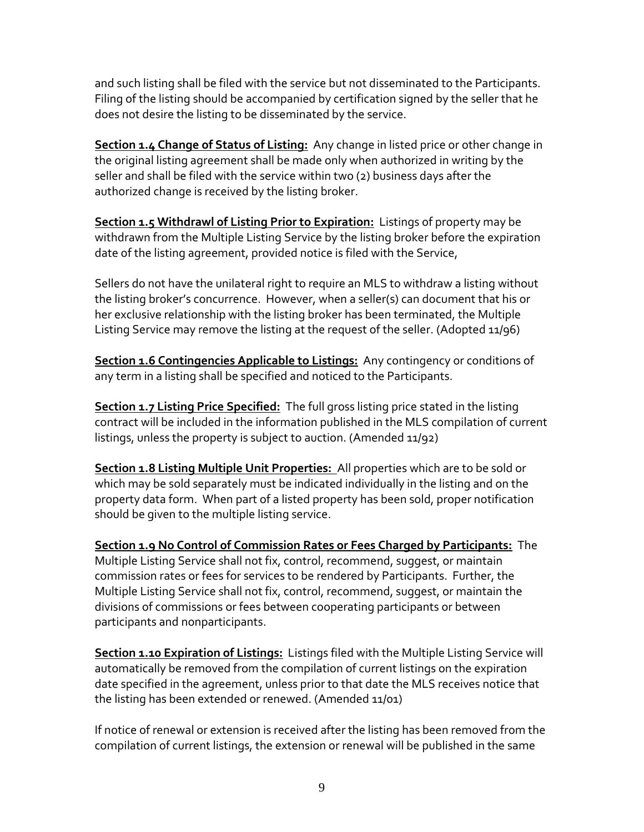and such listing shall be filed with the service but not disseminated to the Participants. Filing of the listing should be accompanied by certification signed by the seller that he does not desire the listing to be disseminated by the service.

**Section 1.4 Change of Status of Listing:** Any change in listed price or other change in the original listing agreement shall be made only when authorized in writing by the seller and shall be filed with the service within two (2) business days after the authorized change is received by the listing broker.

**Section 1.5 Withdrawl of Listing Prior to Expiration:** Listings of property may be withdrawn from the Multiple Listing Service by the listing broker before the expiration date of the listing agreement, provided notice is filed with the Service,

Sellers do not have the unilateral right to require an MLS to withdraw a listing without the listing broker's concurrence. However, when a seller(s) can document that his or her exclusive relationship with the listing broker has been terminated, the Multiple Listing Service may remove the listing at the request of the seller. (Adopted 11/96)

**Section 1.6 Contingencies Applicable to Listings:** Any contingency or conditions of any term in a listing shall be specified and noticed to the Participants.

**Section 1.7 Listing Price Specified:** The full gross listing price stated in the listing contract will be included in the information published in the MLS compilation of current listings, unless the property is subject to auction. (Amended 11/92)

**Section 1.8 Listing Multiple Unit Properties:** All properties which are to be sold or which may be sold separately must be indicated individually in the listing and on the property data form. When part of a listed property has been sold, proper notification should be given to the multiple listing service.

**Section 1.9 No Control of Commission Rates or Fees Charged by Participants:** The Multiple Listing Service shall not fix, control, recommend, suggest, or maintain commission rates or fees for services to be rendered by Participants. Further, the Multiple Listing Service shall not fix, control, recommend, suggest, or maintain the divisions of commissions or fees between cooperating participants or between participants and nonparticipants.

**Section 1.10 Expiration of Listings:** Listings filed with the Multiple Listing Service will automatically be removed from the compilation of current listings on the expiration date specified in the agreement, unless prior to that date the MLS receives notice that the listing has been extended or renewed. (Amended 11/01)

If notice of renewal or extension is received after the listing has been removed from the compilation of current listings, the extension or renewal will be published in the same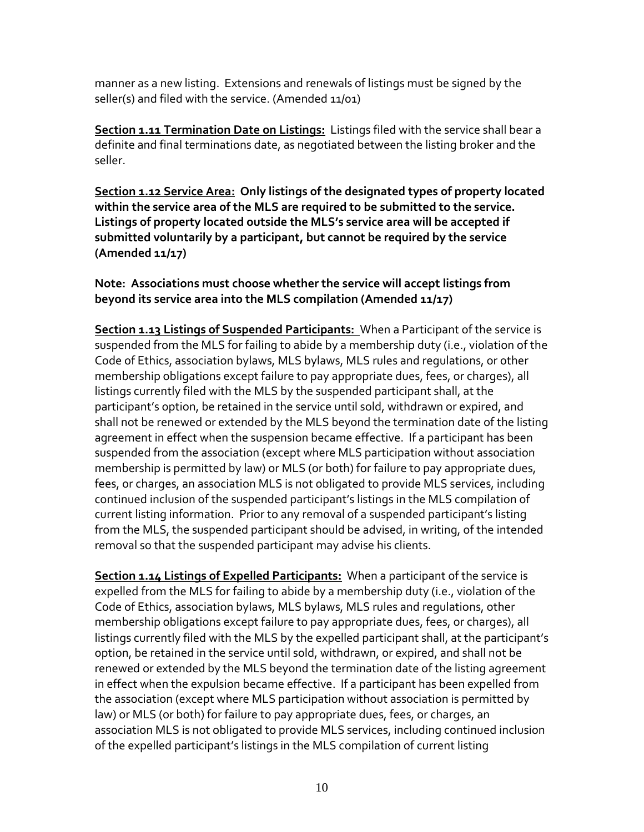manner as a new listing. Extensions and renewals of listings must be signed by the seller(s) and filed with the service. (Amended 11/01)

**Section 1.11 Termination Date on Listings:** Listings filed with the service shall bear a definite and final terminations date, as negotiated between the listing broker and the seller.

**Section 1.12 Service Area: Only listings of the designated types of property located within the service area of the MLS are required to be submitted to the service. Listings of property located outside the MLS's service area will be accepted if submitted voluntarily by a participant, but cannot be required by the service (Amended 11/17)**

**Note: Associations must choose whether the service will accept listings from beyond its service area into the MLS compilation (Amended 11/17)**

**Section 1.13 Listings of Suspended Participants:** When a Participant of the service is suspended from the MLS for failing to abide by a membership duty (i.e., violation of the Code of Ethics, association bylaws, MLS bylaws, MLS rules and regulations, or other membership obligations except failure to pay appropriate dues, fees, or charges), all listings currently filed with the MLS by the suspended participant shall, at the participant's option, be retained in the service until sold, withdrawn or expired, and shall not be renewed or extended by the MLS beyond the termination date of the listing agreement in effect when the suspension became effective. If a participant has been suspended from the association (except where MLS participation without association membership is permitted by law) or MLS (or both) for failure to pay appropriate dues, fees, or charges, an association MLS is not obligated to provide MLS services, including continued inclusion of the suspended participant's listings in the MLS compilation of current listing information. Prior to any removal of a suspended participant's listing from the MLS, the suspended participant should be advised, in writing, of the intended removal so that the suspended participant may advise his clients.

**Section 1.14 Listings of Expelled Participants:** When a participant of the service is expelled from the MLS for failing to abide by a membership duty (i.e., violation of the Code of Ethics, association bylaws, MLS bylaws, MLS rules and regulations, other membership obligations except failure to pay appropriate dues, fees, or charges), all listings currently filed with the MLS by the expelled participant shall, at the participant's option, be retained in the service until sold, withdrawn, or expired, and shall not be renewed or extended by the MLS beyond the termination date of the listing agreement in effect when the expulsion became effective. If a participant has been expelled from the association (except where MLS participation without association is permitted by law) or MLS (or both) for failure to pay appropriate dues, fees, or charges, an association MLS is not obligated to provide MLS services, including continued inclusion of the expelled participant's listings in the MLS compilation of current listing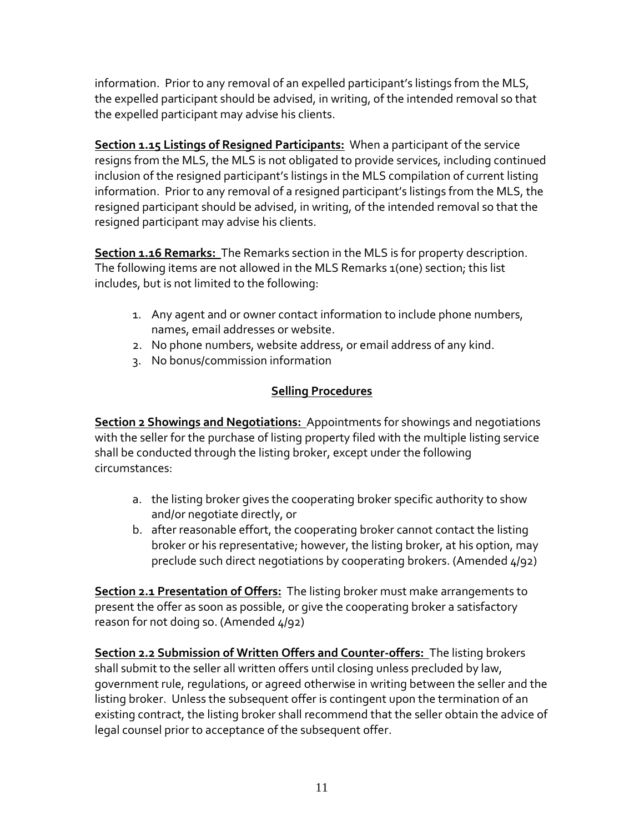information. Prior to any removal of an expelled participant's listings from the MLS, the expelled participant should be advised, in writing, of the intended removal so that the expelled participant may advise his clients.

**Section 1.15 Listings of Resigned Participants:** When a participant of the service resigns from the MLS, the MLS is not obligated to provide services, including continued inclusion of the resigned participant's listings in the MLS compilation of current listing information. Prior to any removal of a resigned participant's listings from the MLS, the resigned participant should be advised, in writing, of the intended removal so that the resigned participant may advise his clients.

**Section 1.16 Remarks:** The Remarks section in the MLS is for property description. The following items are not allowed in the MLS Remarks 1(one) section; this list includes, but is not limited to the following:

- 1. Any agent and or owner contact information to include phone numbers, names, email addresses or website.
- 2. No phone numbers, website address, or email address of any kind.
- 3. No bonus/commission information

## **Selling Procedures**

**Section 2 Showings and Negotiations:** Appointments for showings and negotiations with the seller for the purchase of listing property filed with the multiple listing service shall be conducted through the listing broker, except under the following circumstances:

- a. the listing broker gives the cooperating broker specific authority to show and/or negotiate directly, or
- b. after reasonable effort, the cooperating broker cannot contact the listing broker or his representative; however, the listing broker, at his option, may preclude such direct negotiations by cooperating brokers. (Amended 4/92)

**Section 2.1 Presentation of Offers:** The listing broker must make arrangements to present the offer as soon as possible, or give the cooperating broker a satisfactory reason for not doing so. (Amended 4/92)

**Section 2.2 Submission of Written Offers and Counter-offers:** The listing brokers shall submit to the seller all written offers until closing unless precluded by law, government rule, regulations, or agreed otherwise in writing between the seller and the listing broker. Unless the subsequent offer is contingent upon the termination of an existing contract, the listing broker shall recommend that the seller obtain the advice of legal counsel prior to acceptance of the subsequent offer.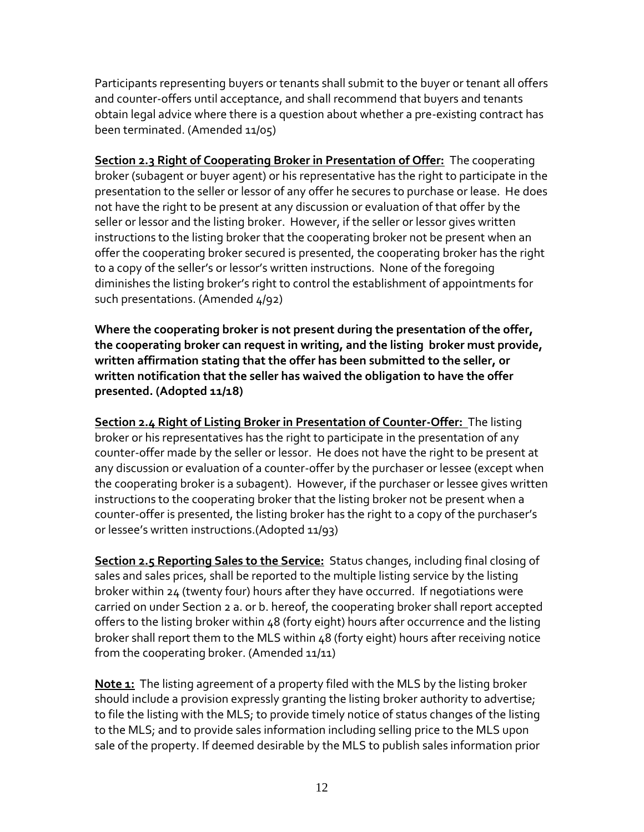Participants representing buyers or tenants shall submit to the buyer or tenant all offers and counter-offers until acceptance, and shall recommend that buyers and tenants obtain legal advice where there is a question about whether a pre-existing contract has been terminated. (Amended 11/05)

**Section 2.3 Right of Cooperating Broker in Presentation of Offer:** The cooperating broker (subagent or buyer agent) or his representative has the right to participate in the presentation to the seller or lessor of any offer he secures to purchase or lease. He does not have the right to be present at any discussion or evaluation of that offer by the seller or lessor and the listing broker. However, if the seller or lessor gives written instructions to the listing broker that the cooperating broker not be present when an offer the cooperating broker secured is presented, the cooperating broker has the right to a copy of the seller's or lessor's written instructions. None of the foregoing diminishes the listing broker's right to control the establishment of appointments for such presentations. (Amended 4/92)

**Where the cooperating broker is not present during the presentation of the offer, the cooperating broker can request in writing, and the listing broker must provide, written affirmation stating that the offer has been submitted to the seller, or written notification that the seller has waived the obligation to have the offer presented. (Adopted 11/18)**

**Section 2.4 Right of Listing Broker in Presentation of Counter-Offer:** The listing broker or his representatives has the right to participate in the presentation of any counter-offer made by the seller or lessor. He does not have the right to be present at any discussion or evaluation of a counter-offer by the purchaser or lessee (except when the cooperating broker is a subagent). However, if the purchaser or lessee gives written instructions to the cooperating broker that the listing broker not be present when a counter-offer is presented, the listing broker has the right to a copy of the purchaser's or lessee's written instructions.(Adopted 11/93)

**Section 2.5 Reporting Sales to the Service:** Status changes, including final closing of sales and sales prices, shall be reported to the multiple listing service by the listing broker within 24 (twenty four) hours after they have occurred. If negotiations were carried on under Section 2 a. or b. hereof, the cooperating broker shall report accepted offers to the listing broker within 48 (forty eight) hours after occurrence and the listing broker shall report them to the MLS within 48 (forty eight) hours after receiving notice from the cooperating broker. (Amended 11/11)

**Note 1:** The listing agreement of a property filed with the MLS by the listing broker should include a provision expressly granting the listing broker authority to advertise; to file the listing with the MLS; to provide timely notice of status changes of the listing to the MLS; and to provide sales information including selling price to the MLS upon sale of the property. If deemed desirable by the MLS to publish sales information prior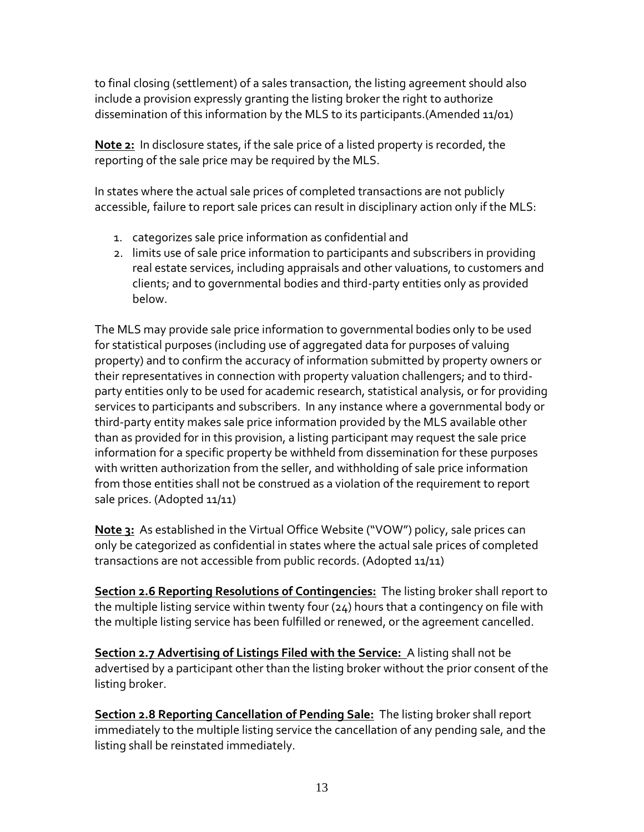to final closing (settlement) of a sales transaction, the listing agreement should also include a provision expressly granting the listing broker the right to authorize dissemination of this information by the MLS to its participants.(Amended 11/01)

**Note 2:** In disclosure states, if the sale price of a listed property is recorded, the reporting of the sale price may be required by the MLS.

In states where the actual sale prices of completed transactions are not publicly accessible, failure to report sale prices can result in disciplinary action only if the MLS:

- 1. categorizes sale price information as confidential and
- 2. limits use of sale price information to participants and subscribers in providing real estate services, including appraisals and other valuations, to customers and clients; and to governmental bodies and third-party entities only as provided below.

The MLS may provide sale price information to governmental bodies only to be used for statistical purposes (including use of aggregated data for purposes of valuing property) and to confirm the accuracy of information submitted by property owners or their representatives in connection with property valuation challengers; and to thirdparty entities only to be used for academic research, statistical analysis, or for providing services to participants and subscribers. In any instance where a governmental body or third-party entity makes sale price information provided by the MLS available other than as provided for in this provision, a listing participant may request the sale price information for a specific property be withheld from dissemination for these purposes with written authorization from the seller, and withholding of sale price information from those entities shall not be construed as a violation of the requirement to report sale prices. (Adopted 11/11)

**Note 3:** As established in the Virtual Office Website ("VOW") policy, sale prices can only be categorized as confidential in states where the actual sale prices of completed transactions are not accessible from public records. (Adopted 11/11)

**Section 2.6 Reporting Resolutions of Contingencies:** The listing broker shall report to the multiple listing service within twenty four (24) hours that a contingency on file with the multiple listing service has been fulfilled or renewed, or the agreement cancelled.

**Section 2.7 Advertising of Listings Filed with the Service:** A listing shall not be advertised by a participant other than the listing broker without the prior consent of the listing broker.

**Section 2.8 Reporting Cancellation of Pending Sale:** The listing broker shall report immediately to the multiple listing service the cancellation of any pending sale, and the listing shall be reinstated immediately.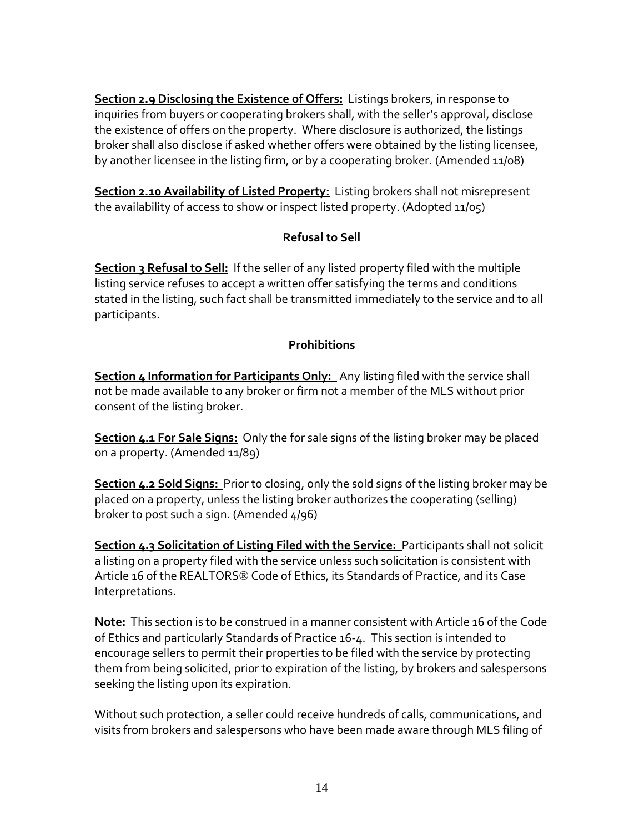**Section 2.9 Disclosing the Existence of Offers:** Listings brokers, in response to inquiries from buyers or cooperating brokers shall, with the seller's approval, disclose the existence of offers on the property. Where disclosure is authorized, the listings broker shall also disclose if asked whether offers were obtained by the listing licensee, by another licensee in the listing firm, or by a cooperating broker. (Amended 11/08)

**Section 2.10 Availability of Listed Property:** Listing brokers shall not misrepresent the availability of access to show or inspect listed property. (Adopted 11/05)

## **Refusal to Sell**

**Section 3 Refusal to Sell:** If the seller of any listed property filed with the multiple listing service refuses to accept a written offer satisfying the terms and conditions stated in the listing, such fact shall be transmitted immediately to the service and to all participants.

### **Prohibitions**

**Section 4 Information for Participants Only:** Any listing filed with the service shall not be made available to any broker or firm not a member of the MLS without prior consent of the listing broker.

**Section 4.1 For Sale Signs:** Only the for sale signs of the listing broker may be placed on a property. (Amended 11/89)

**Section 4.2 Sold Signs:** Prior to closing, only the sold signs of the listing broker may be placed on a property, unless the listing broker authorizes the cooperating (selling) broker to post such a sign. (Amended 4/96)

**Section 4.3 Solicitation of Listing Filed with the Service:** Participants shall not solicit a listing on a property filed with the service unless such solicitation is consistent with Article 16 of the REALTORS® Code of Ethics, its Standards of Practice, and its Case Interpretations.

**Note:** This section is to be construed in a manner consistent with Article 16 of the Code of Ethics and particularly Standards of Practice 16-4. This section is intended to encourage sellers to permit their properties to be filed with the service by protecting them from being solicited, prior to expiration of the listing, by brokers and salespersons seeking the listing upon its expiration.

Without such protection, a seller could receive hundreds of calls, communications, and visits from brokers and salespersons who have been made aware through MLS filing of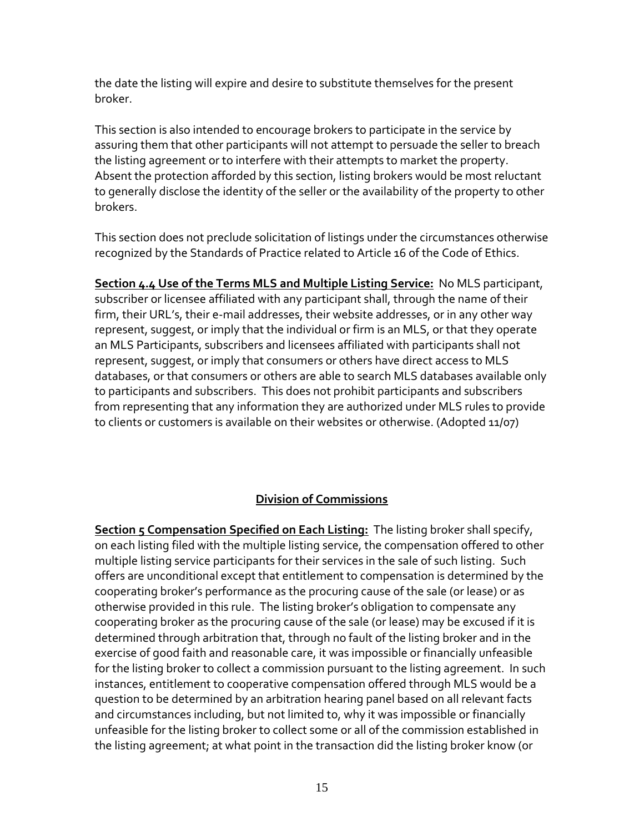the date the listing will expire and desire to substitute themselves for the present broker.

This section is also intended to encourage brokers to participate in the service by assuring them that other participants will not attempt to persuade the seller to breach the listing agreement or to interfere with their attempts to market the property. Absent the protection afforded by this section, listing brokers would be most reluctant to generally disclose the identity of the seller or the availability of the property to other brokers.

This section does not preclude solicitation of listings under the circumstances otherwise recognized by the Standards of Practice related to Article 16 of the Code of Ethics.

**Section 4.4 Use of the Terms MLS and Multiple Listing Service:** No MLS participant, subscriber or licensee affiliated with any participant shall, through the name of their firm, their URL's, their e-mail addresses, their website addresses, or in any other way represent, suggest, or imply that the individual or firm is an MLS, or that they operate an MLS Participants, subscribers and licensees affiliated with participants shall not represent, suggest, or imply that consumers or others have direct access to MLS databases, or that consumers or others are able to search MLS databases available only to participants and subscribers. This does not prohibit participants and subscribers from representing that any information they are authorized under MLS rules to provide to clients or customers is available on their websites or otherwise. (Adopted 11/07)

### **Division of Commissions**

**Section 5 Compensation Specified on Each Listing:** The listing broker shall specify, on each listing filed with the multiple listing service, the compensation offered to other multiple listing service participants for their services in the sale of such listing. Such offers are unconditional except that entitlement to compensation is determined by the cooperating broker's performance as the procuring cause of the sale (or lease) or as otherwise provided in this rule. The listing broker's obligation to compensate any cooperating broker as the procuring cause of the sale (or lease) may be excused if it is determined through arbitration that, through no fault of the listing broker and in the exercise of good faith and reasonable care, it was impossible or financially unfeasible for the listing broker to collect a commission pursuant to the listing agreement. In such instances, entitlement to cooperative compensation offered through MLS would be a question to be determined by an arbitration hearing panel based on all relevant facts and circumstances including, but not limited to, why it was impossible or financially unfeasible for the listing broker to collect some or all of the commission established in the listing agreement; at what point in the transaction did the listing broker know (or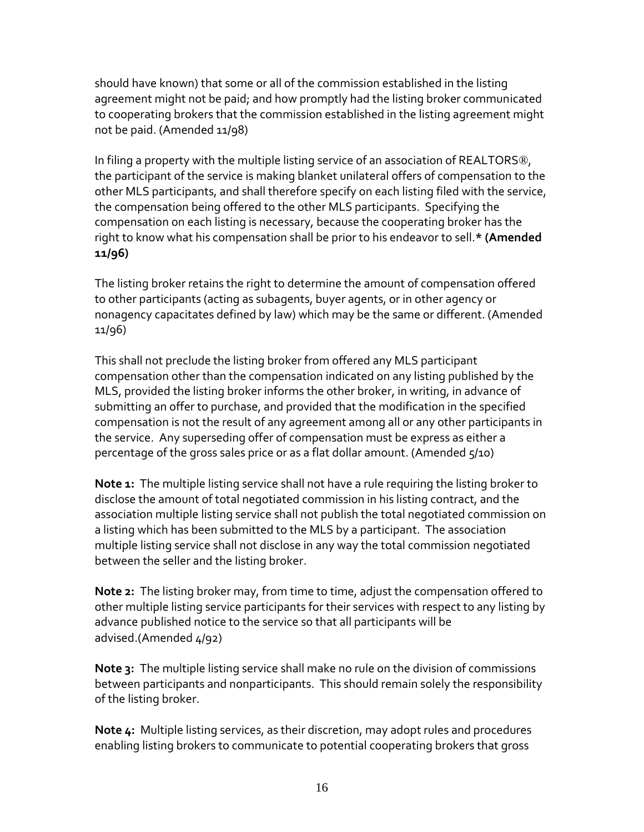should have known) that some or all of the commission established in the listing agreement might not be paid; and how promptly had the listing broker communicated to cooperating brokers that the commission established in the listing agreement might not be paid. (Amended 11/98)

In filing a property with the multiple listing service of an association of REALTORS®, the participant of the service is making blanket unilateral offers of compensation to the other MLS participants, and shall therefore specify on each listing filed with the service, the compensation being offered to the other MLS participants. Specifying the compensation on each listing is necessary, because the cooperating broker has the right to know what his compensation shall be prior to his endeavor to sell.**\* (Amended 11/96)**

The listing broker retains the right to determine the amount of compensation offered to other participants (acting as subagents, buyer agents, or in other agency or nonagency capacitates defined by law) which may be the same or different. (Amended 11/96)

This shall not preclude the listing broker from offered any MLS participant compensation other than the compensation indicated on any listing published by the MLS, provided the listing broker informs the other broker, in writing, in advance of submitting an offer to purchase, and provided that the modification in the specified compensation is not the result of any agreement among all or any other participants in the service. Any superseding offer of compensation must be express as either a percentage of the gross sales price or as a flat dollar amount. (Amended 5/10)

**Note 1:** The multiple listing service shall not have a rule requiring the listing broker to disclose the amount of total negotiated commission in his listing contract, and the association multiple listing service shall not publish the total negotiated commission on a listing which has been submitted to the MLS by a participant. The association multiple listing service shall not disclose in any way the total commission negotiated between the seller and the listing broker.

**Note 2:** The listing broker may, from time to time, adjust the compensation offered to other multiple listing service participants for their services with respect to any listing by advance published notice to the service so that all participants will be advised.(Amended 4/92)

**Note 3:** The multiple listing service shall make no rule on the division of commissions between participants and nonparticipants. This should remain solely the responsibility of the listing broker.

**Note 4:** Multiple listing services, as their discretion, may adopt rules and procedures enabling listing brokers to communicate to potential cooperating brokers that gross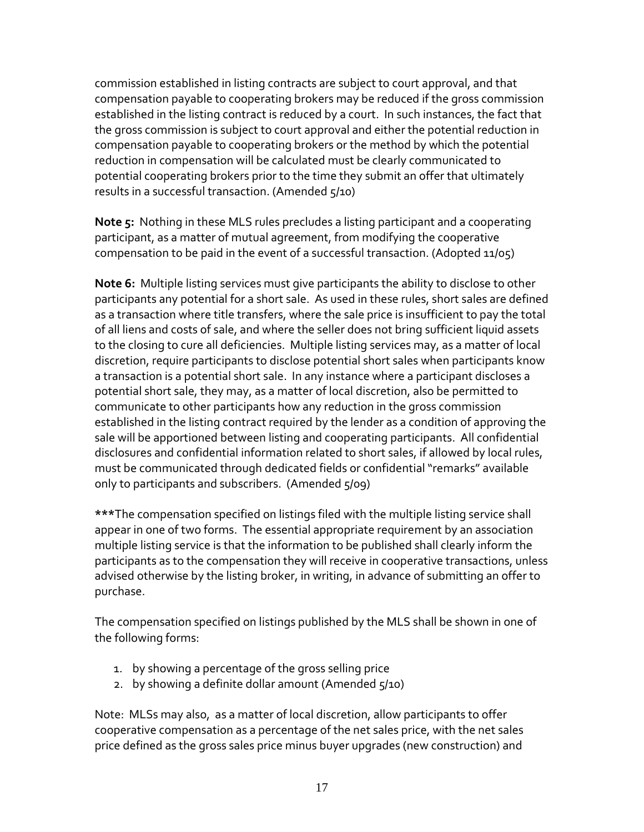commission established in listing contracts are subject to court approval, and that compensation payable to cooperating brokers may be reduced if the gross commission established in the listing contract is reduced by a court. In such instances, the fact that the gross commission is subject to court approval and either the potential reduction in compensation payable to cooperating brokers or the method by which the potential reduction in compensation will be calculated must be clearly communicated to potential cooperating brokers prior to the time they submit an offer that ultimately results in a successful transaction. (Amended 5/10)

**Note 5:** Nothing in these MLS rules precludes a listing participant and a cooperating participant, as a matter of mutual agreement, from modifying the cooperative compensation to be paid in the event of a successful transaction. (Adopted 11/05)

**Note 6:** Multiple listing services must give participants the ability to disclose to other participants any potential for a short sale. As used in these rules, short sales are defined as a transaction where title transfers, where the sale price is insufficient to pay the total of all liens and costs of sale, and where the seller does not bring sufficient liquid assets to the closing to cure all deficiencies. Multiple listing services may, as a matter of local discretion, require participants to disclose potential short sales when participants know a transaction is a potential short sale. In any instance where a participant discloses a potential short sale, they may, as a matter of local discretion, also be permitted to communicate to other participants how any reduction in the gross commission established in the listing contract required by the lender as a condition of approving the sale will be apportioned between listing and cooperating participants. All confidential disclosures and confidential information related to short sales, if allowed by local rules, must be communicated through dedicated fields or confidential "remarks" available only to participants and subscribers. (Amended 5/09)

**\*\*\***The compensation specified on listings filed with the multiple listing service shall appear in one of two forms. The essential appropriate requirement by an association multiple listing service is that the information to be published shall clearly inform the participants as to the compensation they will receive in cooperative transactions, unless advised otherwise by the listing broker, in writing, in advance of submitting an offer to purchase.

The compensation specified on listings published by the MLS shall be shown in one of the following forms:

- 1. by showing a percentage of the gross selling price
- 2. by showing a definite dollar amount (Amended 5/10)

Note: MLSs may also, as a matter of local discretion, allow participants to offer cooperative compensation as a percentage of the net sales price, with the net sales price defined as the gross sales price minus buyer upgrades (new construction) and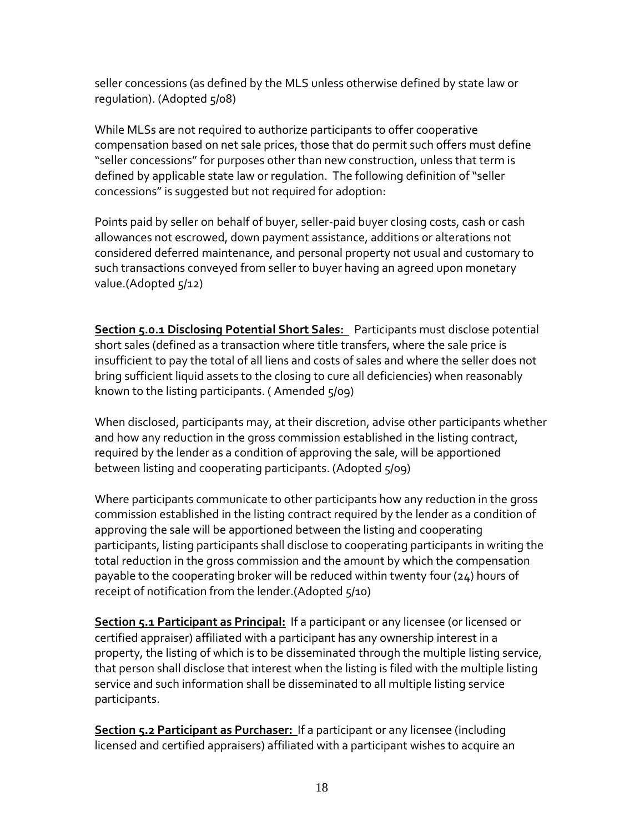seller concessions (as defined by the MLS unless otherwise defined by state law or regulation). (Adopted 5/08)

While MLSs are not required to authorize participants to offer cooperative compensation based on net sale prices, those that do permit such offers must define "seller concessions" for purposes other than new construction, unless that term is defined by applicable state law or regulation. The following definition of "seller concessions" is suggested but not required for adoption:

Points paid by seller on behalf of buyer, seller-paid buyer closing costs, cash or cash allowances not escrowed, down payment assistance, additions or alterations not considered deferred maintenance, and personal property not usual and customary to such transactions conveyed from seller to buyer having an agreed upon monetary value.(Adopted 5/12)

**Section 5.0.1 Disclosing Potential Short Sales:** Participants must disclose potential short sales (defined as a transaction where title transfers, where the sale price is insufficient to pay the total of all liens and costs of sales and where the seller does not bring sufficient liquid assets to the closing to cure all deficiencies) when reasonably known to the listing participants. ( Amended 5/09)

When disclosed, participants may, at their discretion, advise other participants whether and how any reduction in the gross commission established in the listing contract, required by the lender as a condition of approving the sale, will be apportioned between listing and cooperating participants. (Adopted 5/09)

Where participants communicate to other participants how any reduction in the gross commission established in the listing contract required by the lender as a condition of approving the sale will be apportioned between the listing and cooperating participants, listing participants shall disclose to cooperating participants in writing the total reduction in the gross commission and the amount by which the compensation payable to the cooperating broker will be reduced within twenty four (24) hours of receipt of notification from the lender.(Adopted 5/10)

**Section 5.1 Participant as Principal:** If a participant or any licensee (or licensed or certified appraiser) affiliated with a participant has any ownership interest in a property, the listing of which is to be disseminated through the multiple listing service, that person shall disclose that interest when the listing is filed with the multiple listing service and such information shall be disseminated to all multiple listing service participants.

**Section 5.2 Participant as Purchaser:** If a participant or any licensee (including licensed and certified appraisers) affiliated with a participant wishes to acquire an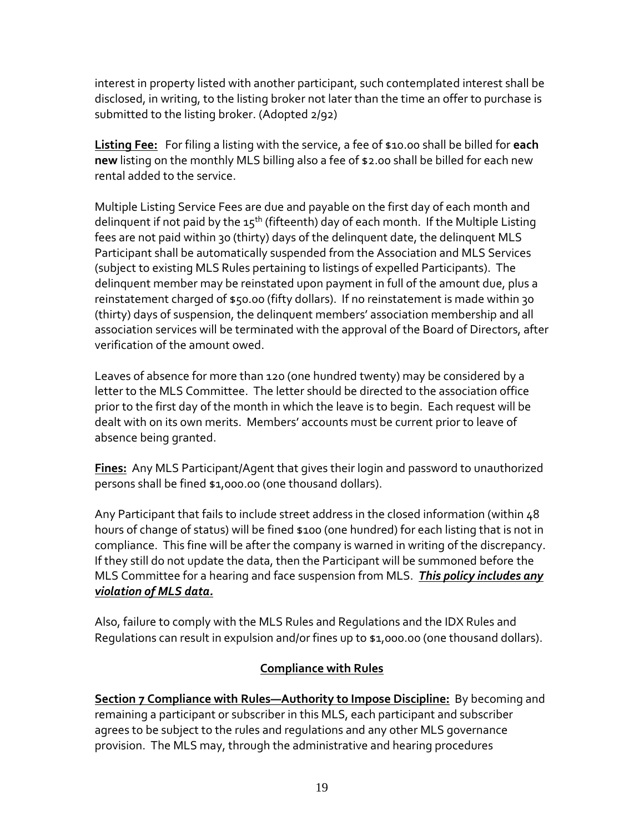interest in property listed with another participant, such contemplated interest shall be disclosed, in writing, to the listing broker not later than the time an offer to purchase is submitted to the listing broker. (Adopted 2/92)

**Listing Fee:** For filing a listing with the service, a fee of \$10.00 shall be billed for **each new** listing on the monthly MLS billing also a fee of \$2.00 shall be billed for each new rental added to the service.

Multiple Listing Service Fees are due and payable on the first day of each month and delinquent if not paid by the  $15<sup>th</sup>$  (fifteenth) day of each month. If the Multiple Listing fees are not paid within 30 (thirty) days of the delinquent date, the delinquent MLS Participant shall be automatically suspended from the Association and MLS Services (subject to existing MLS Rules pertaining to listings of expelled Participants). The delinquent member may be reinstated upon payment in full of the amount due, plus a reinstatement charged of \$50.00 (fifty dollars). If no reinstatement is made within 30 (thirty) days of suspension, the delinquent members' association membership and all association services will be terminated with the approval of the Board of Directors, after verification of the amount owed.

Leaves of absence for more than 120 (one hundred twenty) may be considered by a letter to the MLS Committee. The letter should be directed to the association office prior to the first day of the month in which the leave is to begin. Each request will be dealt with on its own merits. Members' accounts must be current prior to leave of absence being granted.

**Fines:** Any MLS Participant/Agent that gives their login and password to unauthorized persons shall be fined \$1,000.00 (one thousand dollars).

Any Participant that fails to include street address in the closed information (within 48 hours of change of status) will be fined \$100 (one hundred) for each listing that is not in compliance. This fine will be after the company is warned in writing of the discrepancy. If they still do not update the data, then the Participant will be summoned before the MLS Committee for a hearing and face suspension from MLS. *This policy includes any violation of MLS data.*

Also, failure to comply with the MLS Rules and Regulations and the IDX Rules and Regulations can result in expulsion and/or fines up to \$1,000.00 (one thousand dollars).

### **Compliance with Rules**

**Section 7 Compliance with Rules—Authority to Impose Discipline:** By becoming and remaining a participant or subscriber in this MLS, each participant and subscriber agrees to be subject to the rules and regulations and any other MLS governance provision. The MLS may, through the administrative and hearing procedures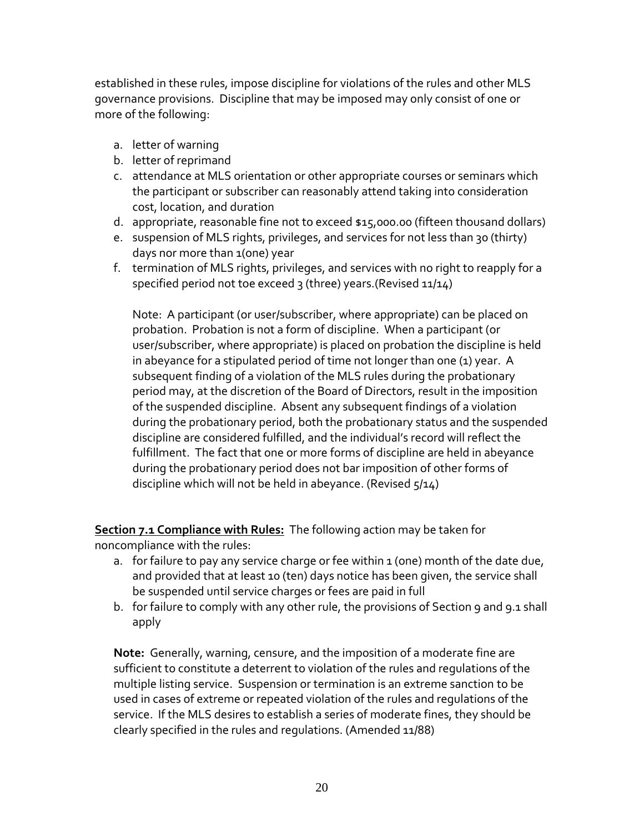established in these rules, impose discipline for violations of the rules and other MLS governance provisions. Discipline that may be imposed may only consist of one or more of the following:

- a. letter of warning
- b. letter of reprimand
- c. attendance at MLS orientation or other appropriate courses or seminars which the participant or subscriber can reasonably attend taking into consideration cost, location, and duration
- d. appropriate, reasonable fine not to exceed \$15,000.00 (fifteen thousand dollars)
- e. suspension of MLS rights, privileges, and services for not less than 30 (thirty) days nor more than 1(one) year
- f. termination of MLS rights, privileges, and services with no right to reapply for a specified period not toe exceed 3 (three) years. (Revised 11/14)

Note: A participant (or user/subscriber, where appropriate) can be placed on probation. Probation is not a form of discipline. When a participant (or user/subscriber, where appropriate) is placed on probation the discipline is held in abeyance for a stipulated period of time not longer than one (1) year. A subsequent finding of a violation of the MLS rules during the probationary period may, at the discretion of the Board of Directors, result in the imposition of the suspended discipline. Absent any subsequent findings of a violation during the probationary period, both the probationary status and the suspended discipline are considered fulfilled, and the individual's record will reflect the fulfillment. The fact that one or more forms of discipline are held in abeyance during the probationary period does not bar imposition of other forms of discipline which will not be held in abeyance. (Revised 5/14)

**Section 7.1 Compliance with Rules:** The following action may be taken for noncompliance with the rules:

- a. for failure to pay any service charge or fee within  $1$  (one) month of the date due, and provided that at least 10 (ten) days notice has been given, the service shall be suspended until service charges or fees are paid in full
- b. for failure to comply with any other rule, the provisions of Section 9 and 9.1 shall apply

**Note:** Generally, warning, censure, and the imposition of a moderate fine are sufficient to constitute a deterrent to violation of the rules and regulations of the multiple listing service. Suspension or termination is an extreme sanction to be used in cases of extreme or repeated violation of the rules and regulations of the service. If the MLS desires to establish a series of moderate fines, they should be clearly specified in the rules and regulations. (Amended 11/88)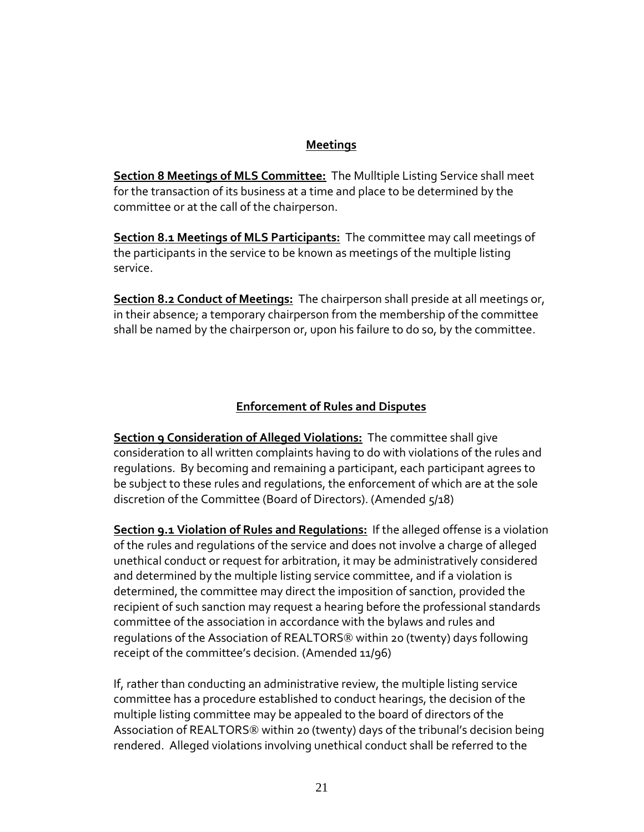#### **Meetings**

**Section 8 Meetings of MLS Committee:** The Mulltiple Listing Service shall meet for the transaction of its business at a time and place to be determined by the committee or at the call of the chairperson.

**Section 8.1 Meetings of MLS Participants:** The committee may call meetings of the participants in the service to be known as meetings of the multiple listing service.

**Section 8.2 Conduct of Meetings:** The chairperson shall preside at all meetings or, in their absence; a temporary chairperson from the membership of the committee shall be named by the chairperson or, upon his failure to do so, by the committee.

### **Enforcement of Rules and Disputes**

**Section 9 Consideration of Alleged Violations:** The committee shall give consideration to all written complaints having to do with violations of the rules and regulations. By becoming and remaining a participant, each participant agrees to be subject to these rules and regulations, the enforcement of which are at the sole discretion of the Committee (Board of Directors). (Amended 5/18)

**Section 9.1 Violation of Rules and Regulations:** If the alleged offense is a violation of the rules and regulations of the service and does not involve a charge of alleged unethical conduct or request for arbitration, it may be administratively considered and determined by the multiple listing service committee, and if a violation is determined, the committee may direct the imposition of sanction, provided the recipient of such sanction may request a hearing before the professional standards committee of the association in accordance with the bylaws and rules and regulations of the Association of REALTORS® within 20 (twenty) days following receipt of the committee's decision. (Amended 11/96)

If, rather than conducting an administrative review, the multiple listing service committee has a procedure established to conduct hearings, the decision of the multiple listing committee may be appealed to the board of directors of the Association of REALTORS® within 20 (twenty) days of the tribunal's decision being rendered. Alleged violations involving unethical conduct shall be referred to the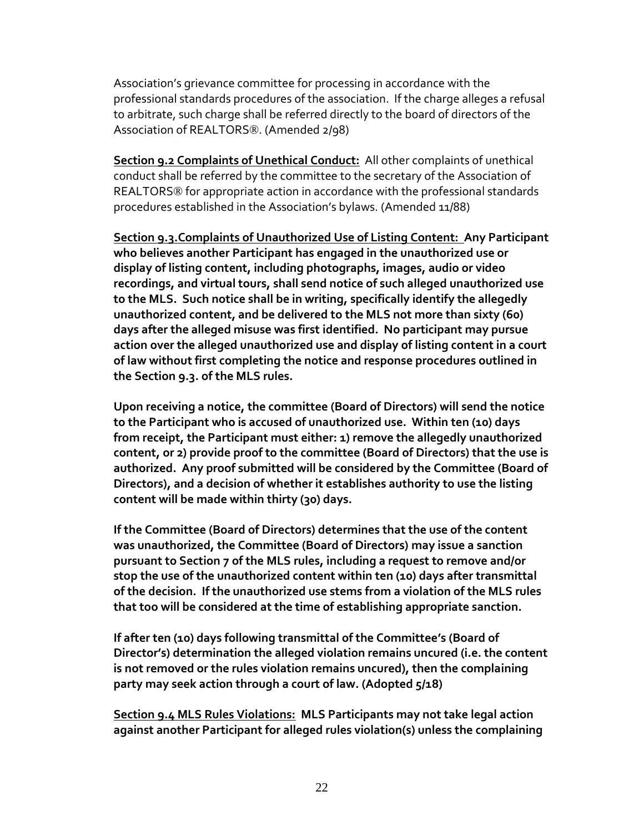Association's grievance committee for processing in accordance with the professional standards procedures of the association. If the charge alleges a refusal to arbitrate, such charge shall be referred directly to the board of directors of the Association of REALTORS®. (Amended 2/98)

**Section 9.2 Complaints of Unethical Conduct:** All other complaints of unethical conduct shall be referred by the committee to the secretary of the Association of REALTORS® for appropriate action in accordance with the professional standards procedures established in the Association's bylaws. (Amended 11/88)

**Section 9.3.Complaints of Unauthorized Use of Listing Content: Any Participant who believes another Participant has engaged in the unauthorized use or display of listing content, including photographs, images, audio or video recordings, and virtual tours, shall send notice of such alleged unauthorized use to the MLS. Such notice shall be in writing, specifically identify the allegedly unauthorized content, and be delivered to the MLS not more than sixty (60) days after the alleged misuse was first identified. No participant may pursue action over the alleged unauthorized use and display of listing content in a court of law without first completing the notice and response procedures outlined in the Section 9.3. of the MLS rules.**

**Upon receiving a notice, the committee (Board of Directors) will send the notice to the Participant who is accused of unauthorized use. Within ten (10) days from receipt, the Participant must either: 1) remove the allegedly unauthorized content, or 2) provide proof to the committee (Board of Directors) that the use is authorized. Any proof submitted will be considered by the Committee (Board of Directors), and a decision of whether it establishes authority to use the listing content will be made within thirty (30) days.**

**If the Committee (Board of Directors) determines that the use of the content was unauthorized, the Committee (Board of Directors) may issue a sanction pursuant to Section 7 of the MLS rules, including a request to remove and/or stop the use of the unauthorized content within ten (10) days after transmittal of the decision. If the unauthorized use stems from a violation of the MLS rules that too will be considered at the time of establishing appropriate sanction.**

**If after ten (10) days following transmittal of the Committee's (Board of Director's) determination the alleged violation remains uncured (i.e. the content is not removed or the rules violation remains uncured), then the complaining party may seek action through a court of law. (Adopted 5/18)**

**Section 9.4 MLS Rules Violations: MLS Participants may not take legal action against another Participant for alleged rules violation(s) unless the complaining**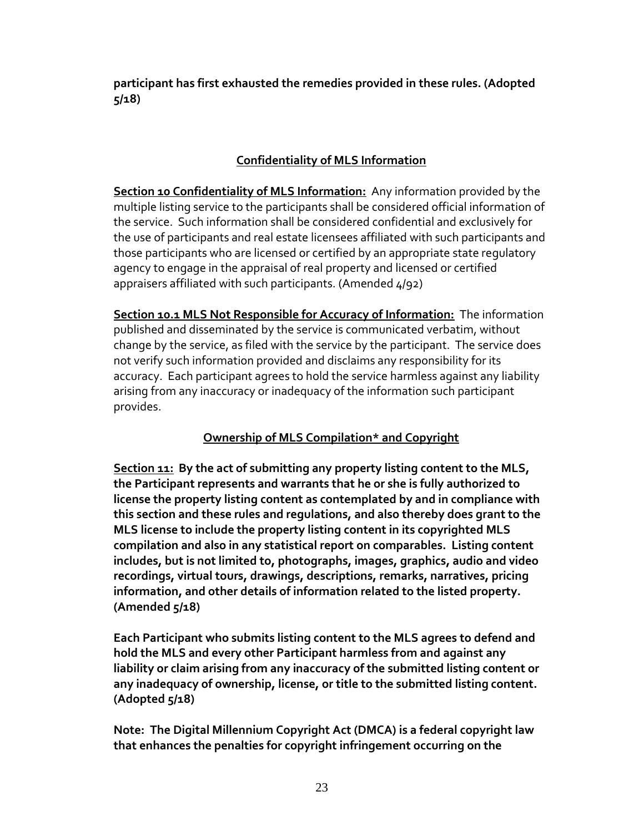**participant has first exhausted the remedies provided in these rules. (Adopted 5/18)**

## **Confidentiality of MLS Information**

**Section 10 Confidentiality of MLS Information:** Any information provided by the multiple listing service to the participants shall be considered official information of the service. Such information shall be considered confidential and exclusively for the use of participants and real estate licensees affiliated with such participants and those participants who are licensed or certified by an appropriate state regulatory agency to engage in the appraisal of real property and licensed or certified appraisers affiliated with such participants. (Amended 4/92)

**Section 10.1 MLS Not Responsible for Accuracy of Information:** The information published and disseminated by the service is communicated verbatim, without change by the service, as filed with the service by the participant. The service does not verify such information provided and disclaims any responsibility for its accuracy. Each participant agrees to hold the service harmless against any liability arising from any inaccuracy or inadequacy of the information such participant provides.

## **Ownership of MLS Compilation\* and Copyright**

**Section 11: By the act of submitting any property listing content to the MLS, the Participant represents and warrants that he or she is fully authorized to license the property listing content as contemplated by and in compliance with this section and these rules and regulations, and also thereby does grant to the MLS license to include the property listing content in its copyrighted MLS compilation and also in any statistical report on comparables. Listing content includes, but is not limited to, photographs, images, graphics, audio and video recordings, virtual tours, drawings, descriptions, remarks, narratives, pricing information, and other details of information related to the listed property. (Amended 5/18)**

**Each Participant who submits listing content to the MLS agrees to defend and hold the MLS and every other Participant harmless from and against any liability or claim arising from any inaccuracy of the submitted listing content or any inadequacy of ownership, license, or title to the submitted listing content. (Adopted 5/18)**

**Note: The Digital Millennium Copyright Act (DMCA) is a federal copyright law that enhances the penalties for copyright infringement occurring on the**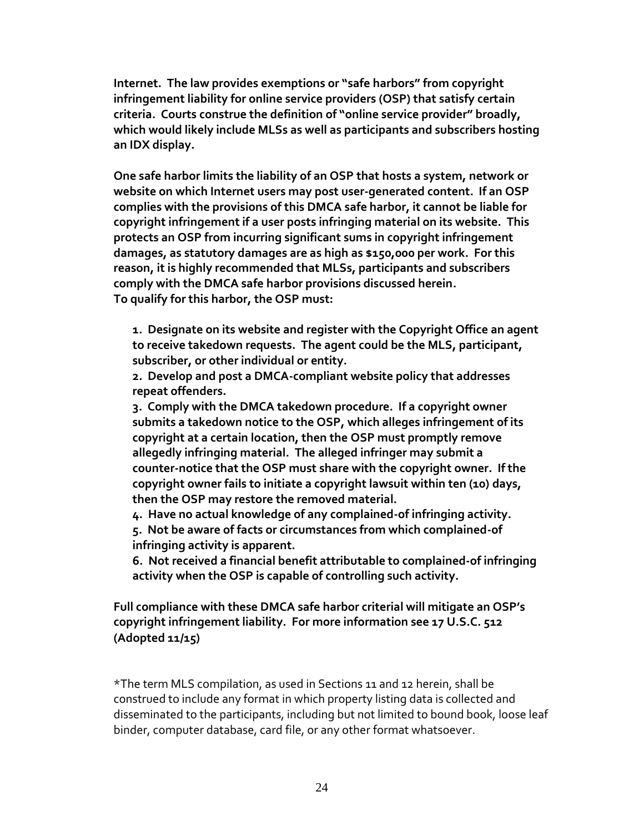**Internet. The law provides exemptions or "safe harbors" from copyright infringement liability for online service providers (OSP) that satisfy certain criteria. Courts construe the definition of "online service provider" broadly, which would likely include MLSs as well as participants and subscribers hosting an IDX display.**

**One safe harbor limits the liability of an OSP that hosts a system, network or website on which Internet users may post user-generated content. If an OSP complies with the provisions of this DMCA safe harbor, it cannot be liable for copyright infringement if a user posts infringing material on its website. This protects an OSP from incurring significant sums in copyright infringement damages, as statutory damages are as high as \$150,000 per work. For this reason, it is highly recommended that MLSs, participants and subscribers comply with the DMCA safe harbor provisions discussed herein. To qualify for this harbor, the OSP must:**

**1. Designate on its website and register with the Copyright Office an agent to receive takedown requests. The agent could be the MLS, participant, subscriber, or other individual or entity.**

**2. Develop and post a DMCA-compliant website policy that addresses repeat offenders.**

**3. Comply with the DMCA takedown procedure. If a copyright owner submits a takedown notice to the OSP, which alleges infringement of its copyright at a certain location, then the OSP must promptly remove allegedly infringing material. The alleged infringer may submit a counter-notice that the OSP must share with the copyright owner. If the copyright owner fails to initiate a copyright lawsuit within ten (10) days, then the OSP may restore the removed material.**

**4. Have no actual knowledge of any complained-of infringing activity.**

**5. Not be aware of facts or circumstances from which complained-of infringing activity is apparent.**

**6. Not received a financial benefit attributable to complained-of infringing activity when the OSP is capable of controlling such activity.**

**Full compliance with these DMCA safe harbor criterial will mitigate an OSP's copyright infringement liability. For more information see 17 U.S.C. 512 (Adopted 11/15)**

\*The term MLS compilation, as used in Sections 11 and 12 herein, shall be construed to include any format in which property listing data is collected and disseminated to the participants, including but not limited to bound book, loose leaf binder, computer database, card file, or any other format whatsoever.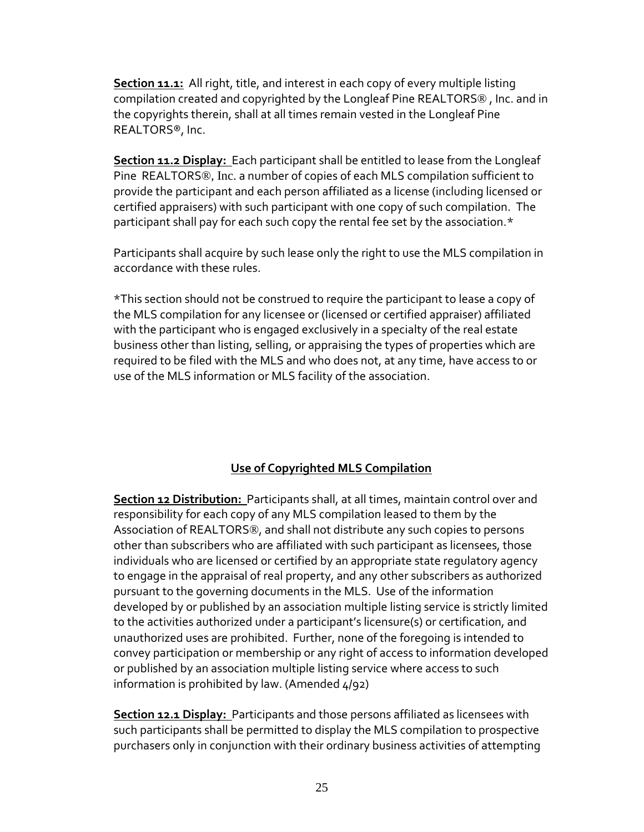**Section 11.1:** All right, title, and interest in each copy of every multiple listing compilation created and copyrighted by the Longleaf Pine REALTORS® , Inc. and in the copyrights therein, shall at all times remain vested in the Longleaf Pine REALTORS®, Inc.

**Section 11.2 Display:** Each participant shall be entitled to lease from the Longleaf Pine REALTORS®, Inc. a number of copies of each MLS compilation sufficient to provide the participant and each person affiliated as a license (including licensed or certified appraisers) with such participant with one copy of such compilation. The participant shall pay for each such copy the rental fee set by the association.\*

Participants shall acquire by such lease only the right to use the MLS compilation in accordance with these rules.

\*This section should not be construed to require the participant to lease a copy of the MLS compilation for any licensee or (licensed or certified appraiser) affiliated with the participant who is engaged exclusively in a specialty of the real estate business other than listing, selling, or appraising the types of properties which are required to be filed with the MLS and who does not, at any time, have access to or use of the MLS information or MLS facility of the association.

### **Use of Copyrighted MLS Compilation**

**Section 12 Distribution:** Participants shall, at all times, maintain control over and responsibility for each copy of any MLS compilation leased to them by the Association of REALTORS®, and shall not distribute any such copies to persons other than subscribers who are affiliated with such participant as licensees, those individuals who are licensed or certified by an appropriate state regulatory agency to engage in the appraisal of real property, and any other subscribers as authorized pursuant to the governing documents in the MLS. Use of the information developed by or published by an association multiple listing service is strictly limited to the activities authorized under a participant's licensure(s) or certification, and unauthorized uses are prohibited. Further, none of the foregoing is intended to convey participation or membership or any right of access to information developed or published by an association multiple listing service where access to such information is prohibited by law. (Amended  $4/92$ )

**Section 12.1 Display:** Participants and those persons affiliated as licensees with such participants shall be permitted to display the MLS compilation to prospective purchasers only in conjunction with their ordinary business activities of attempting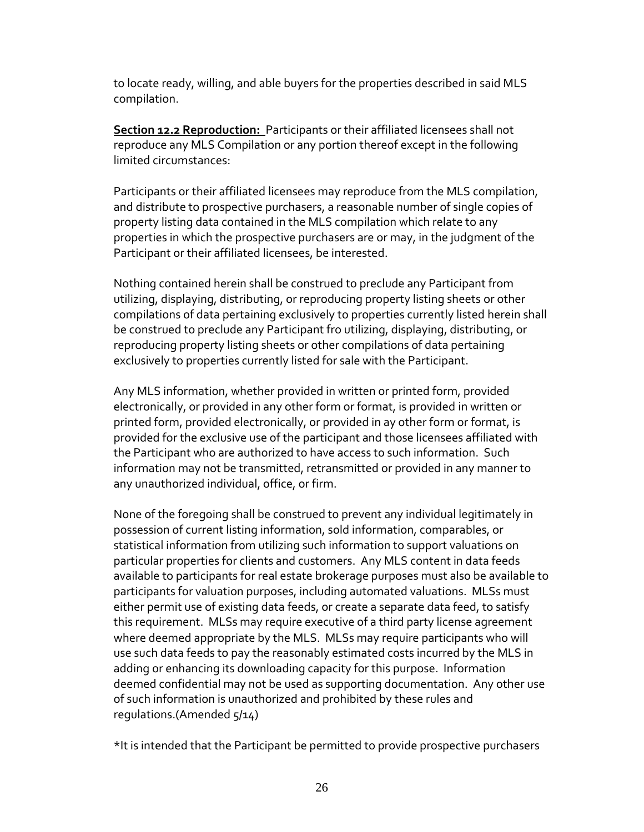to locate ready, willing, and able buyers for the properties described in said MLS compilation.

**Section 12.2 Reproduction:** Participants or their affiliated licensees shall not reproduce any MLS Compilation or any portion thereof except in the following limited circumstances:

Participants or their affiliated licensees may reproduce from the MLS compilation, and distribute to prospective purchasers, a reasonable number of single copies of property listing data contained in the MLS compilation which relate to any properties in which the prospective purchasers are or may, in the judgment of the Participant or their affiliated licensees, be interested.

Nothing contained herein shall be construed to preclude any Participant from utilizing, displaying, distributing, or reproducing property listing sheets or other compilations of data pertaining exclusively to properties currently listed herein shall be construed to preclude any Participant fro utilizing, displaying, distributing, or reproducing property listing sheets or other compilations of data pertaining exclusively to properties currently listed for sale with the Participant.

Any MLS information, whether provided in written or printed form, provided electronically, or provided in any other form or format, is provided in written or printed form, provided electronically, or provided in ay other form or format, is provided for the exclusive use of the participant and those licensees affiliated with the Participant who are authorized to have access to such information. Such information may not be transmitted, retransmitted or provided in any manner to any unauthorized individual, office, or firm.

None of the foregoing shall be construed to prevent any individual legitimately in possession of current listing information, sold information, comparables, or statistical information from utilizing such information to support valuations on particular properties for clients and customers. Any MLS content in data feeds available to participants for real estate brokerage purposes must also be available to participants for valuation purposes, including automated valuations. MLSs must either permit use of existing data feeds, or create a separate data feed, to satisfy this requirement. MLSs may require executive of a third party license agreement where deemed appropriate by the MLS. MLSs may require participants who will use such data feeds to pay the reasonably estimated costs incurred by the MLS in adding or enhancing its downloading capacity for this purpose. Information deemed confidential may not be used as supporting documentation. Any other use of such information is unauthorized and prohibited by these rules and regulations.(Amended 5/14)

\*It is intended that the Participant be permitted to provide prospective purchasers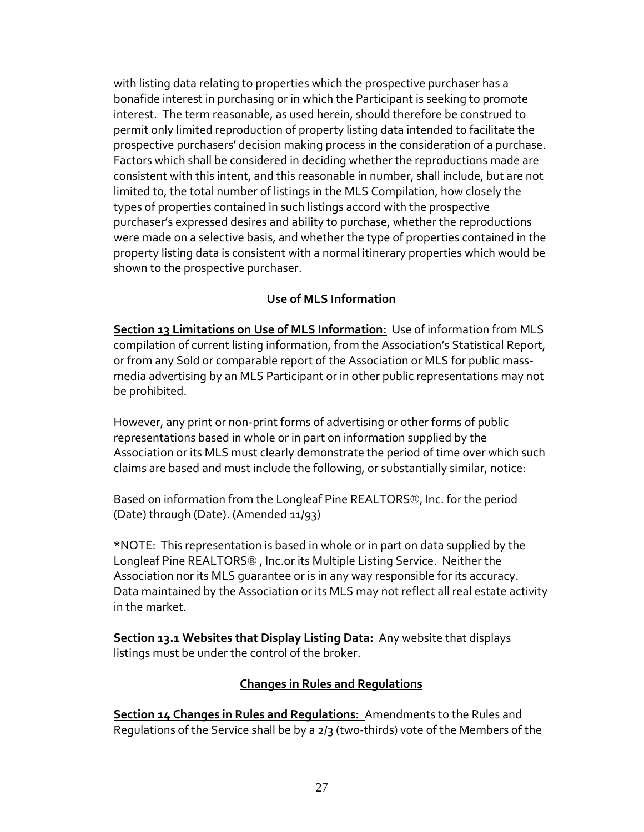with listing data relating to properties which the prospective purchaser has a bonafide interest in purchasing or in which the Participant is seeking to promote interest. The term reasonable, as used herein, should therefore be construed to permit only limited reproduction of property listing data intended to facilitate the prospective purchasers' decision making process in the consideration of a purchase. Factors which shall be considered in deciding whether the reproductions made are consistent with this intent, and this reasonable in number, shall include, but are not limited to, the total number of listings in the MLS Compilation, how closely the types of properties contained in such listings accord with the prospective purchaser's expressed desires and ability to purchase, whether the reproductions were made on a selective basis, and whether the type of properties contained in the property listing data is consistent with a normal itinerary properties which would be shown to the prospective purchaser.

### **Use of MLS Information**

**Section 13 Limitations on Use of MLS Information:** Use of information from MLS compilation of current listing information, from the Association's Statistical Report, or from any Sold or comparable report of the Association or MLS for public massmedia advertising by an MLS Participant or in other public representations may not be prohibited.

However, any print or non-print forms of advertising or other forms of public representations based in whole or in part on information supplied by the Association or its MLS must clearly demonstrate the period of time over which such claims are based and must include the following, or substantially similar, notice:

Based on information from the Longleaf Pine REALTORS®, Inc. for the period (Date) through (Date). (Amended 11/93)

\*NOTE: This representation is based in whole or in part on data supplied by the Longleaf Pine REALTORS® , Inc.or its Multiple Listing Service. Neither the Association nor its MLS guarantee or is in any way responsible for its accuracy. Data maintained by the Association or its MLS may not reflect all real estate activity in the market.

**Section 13.1 Websites that Display Listing Data:** Any website that displays listings must be under the control of the broker.

### **Changes in Rules and Regulations**

**Section 14 Changes in Rules and Regulations:** Amendments to the Rules and Regulations of the Service shall be by a 2/3 (two-thirds) vote of the Members of the